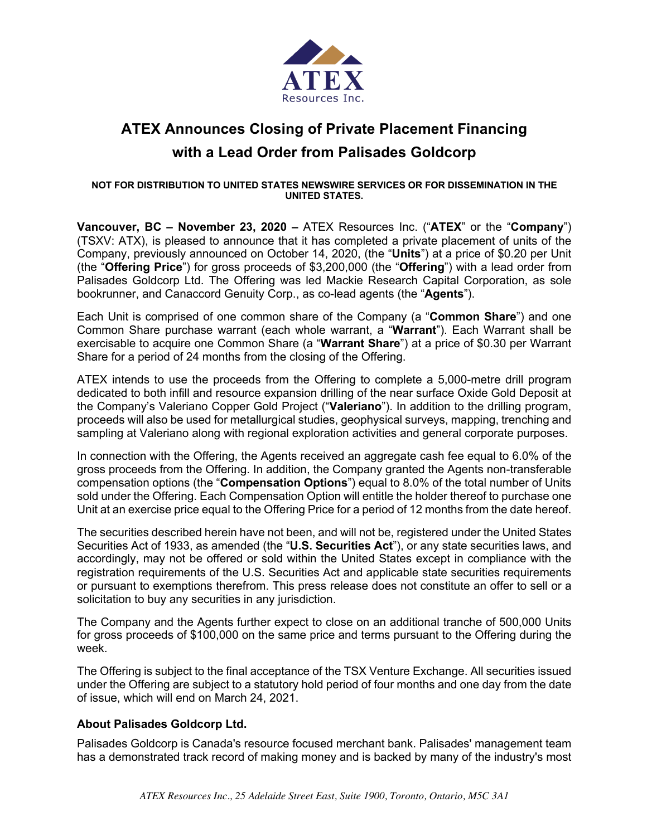

# **ATEX Announces Closing of Private Placement Financing with a Lead Order from Palisades Goldcorp**

#### **NOT FOR DISTRIBUTION TO UNITED STATES NEWSWIRE SERVICES OR FOR DISSEMINATION IN THE UNITED STATES.**

**Vancouver, BC – November 23, 2020 –** ATEX Resources Inc. ("**ATEX**" or the "**Company**") (TSXV: ATX), is pleased to announce that it has completed a private placement of units of the Company, previously announced on October 14, 2020, (the "**Units**") at a price of \$0.20 per Unit (the "**Offering Price**") for gross proceeds of \$3,200,000 (the "**Offering**") with a lead order from Palisades Goldcorp Ltd. The Offering was led Mackie Research Capital Corporation, as sole bookrunner, and Canaccord Genuity Corp., as co-lead agents (the "**Agents**").

Each Unit is comprised of one common share of the Company (a "**Common Share**") and one Common Share purchase warrant (each whole warrant, a "**Warrant**"). Each Warrant shall be exercisable to acquire one Common Share (a "**Warrant Share**") at a price of \$0.30 per Warrant Share for a period of 24 months from the closing of the Offering.

ATEX intends to use the proceeds from the Offering to complete a 5,000-metre drill program dedicated to both infill and resource expansion drilling of the near surface Oxide Gold Deposit at the Company's Valeriano Copper Gold Project ("**Valeriano**"). In addition to the drilling program, proceeds will also be used for metallurgical studies, geophysical surveys, mapping, trenching and sampling at Valeriano along with regional exploration activities and general corporate purposes.

In connection with the Offering, the Agents received an aggregate cash fee equal to 6.0% of the gross proceeds from the Offering. In addition, the Company granted the Agents non-transferable compensation options (the "**Compensation Options**") equal to 8.0% of the total number of Units sold under the Offering. Each Compensation Option will entitle the holder thereof to purchase one Unit at an exercise price equal to the Offering Price for a period of 12 months from the date hereof.

The securities described herein have not been, and will not be, registered under the United States Securities Act of 1933, as amended (the "**U.S. Securities Act**"), or any state securities laws, and accordingly, may not be offered or sold within the United States except in compliance with the registration requirements of the U.S. Securities Act and applicable state securities requirements or pursuant to exemptions therefrom. This press release does not constitute an offer to sell or a solicitation to buy any securities in any jurisdiction.

The Company and the Agents further expect to close on an additional tranche of 500,000 Units for gross proceeds of \$100,000 on the same price and terms pursuant to the Offering during the week.

The Offering is subject to the final acceptance of the TSX Venture Exchange. All securities issued under the Offering are subject to a statutory hold period of four months and one day from the date of issue, which will end on March 24, 2021.

# **About Palisades Goldcorp Ltd.**

Palisades Goldcorp is Canada's resource focused merchant bank. Palisades' management team has a demonstrated track record of making money and is backed by many of the industry's most